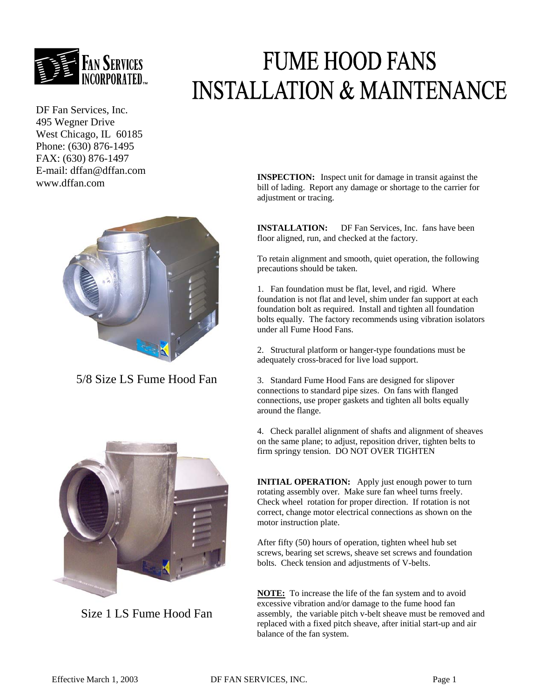

DF Fan Services, Inc. 495 Wegner Drive West Chicago, IL 60185 Phone: (630) 876-1495 FAX: (630) 876-1497 E-mail: dffan@dffan.com



5/8 Size LS Fume Hood Fan



Size 1 LS Fume Hood Fan

## **FUME HOOD FANS INSTALLATION & MAINTENANCE**

E man: com **INSPECTION:** Inspect unit for damage in transit against the www.dffan.com bill of lading. Report any damage or shortage to the carrier for adjustment or tracing.

> **INSTALLATION:** DF Fan Services, Inc. fans have been floor aligned, run, and checked at the factory.

To retain alignment and smooth, quiet operation, the following precautions should be taken.

1. Fan foundation must be flat, level, and rigid. Where foundation is not flat and level, shim under fan support at each foundation bolt as required. Install and tighten all foundation bolts equally. The factory recommends using vibration isolators under all Fume Hood Fans.

2. Structural platform or hanger-type foundations must be adequately cross-braced for live load support.

3. Standard Fume Hood Fans are designed for slipover connections to standard pipe sizes. On fans with flanged connections, use proper gaskets and tighten all bolts equally around the flange.

4. Check parallel alignment of shafts and alignment of sheaves on the same plane; to adjust, reposition driver, tighten belts to firm springy tension. DO NOT OVER TIGHTEN

**INITIAL OPERATION:** Apply just enough power to turn rotating assembly over. Make sure fan wheel turns freely. Check wheel rotation for proper direction. If rotation is not correct, change motor electrical connections as shown on the motor instruction plate.

After fifty (50) hours of operation, tighten wheel hub set screws, bearing set screws, sheave set screws and foundation bolts. Check tension and adjustments of V-belts.

**NOTE:** To increase the life of the fan system and to avoid excessive vibration and/or damage to the fume hood fan assembly, the variable pitch v-belt sheave must be removed and replaced with a fixed pitch sheave, after initial start-up and air balance of the fan system.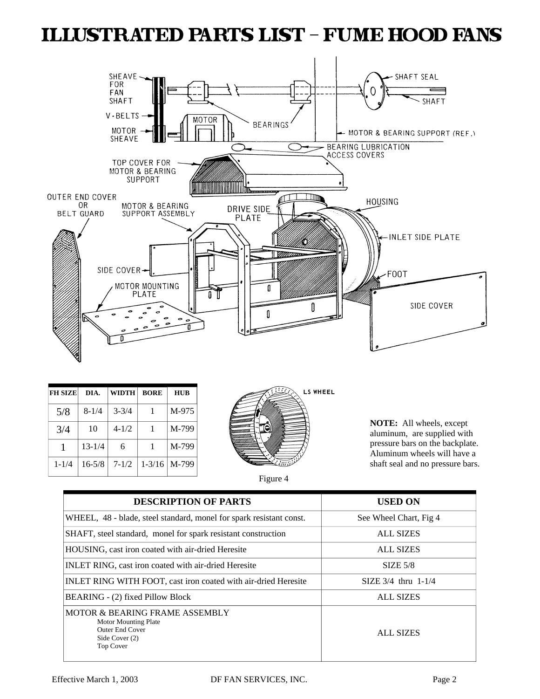### **ILLUSTRATED PARTS LIST - FUME HOOD FANS**



| <b>FH SIZE</b> | DIA.       | <b>WIDTH</b> | <b>BORE</b> | HUB   |
|----------------|------------|--------------|-------------|-------|
| 5/8            | $8 - 1/4$  | $3 - 3/4$    |             | M-975 |
| 3/4            | 10         | $4 - 1/2$    | 1           | M-799 |
|                | $13 - 1/4$ | 6            |             | M-799 |
| $1 - 1/4$      | $16 - 5/8$ | $7 - 1/2$    | $1 - 3/16$  | M-799 |



**NOTE:** All wheels, except aluminum, are supplied with pressure bars on the backplate. Aluminum wheels will have a shaft seal and no pressure bars.



| <b>DESCRIPTION OF PARTS</b>                                                                                                       | <b>USED ON</b>         |  |
|-----------------------------------------------------------------------------------------------------------------------------------|------------------------|--|
| WHEEL, 48 - blade, steel standard, monel for spark resistant const.                                                               | See Wheel Chart, Fig 4 |  |
| SHAFT, steel standard, monel for spark resistant construction                                                                     | <b>ALL SIZES</b>       |  |
| HOUSING, cast iron coated with air-dried Heresite                                                                                 | <b>ALL SIZES</b>       |  |
| INLET RING, cast iron coated with air-dried Heresite                                                                              | $SIZE$ 5/8             |  |
| INLET RING WITH FOOT, cast iron coated with air-dried Heresite                                                                    | $SIZE 3/4$ thru 1-1/4  |  |
| BEARING - (2) fixed Pillow Block                                                                                                  | <b>ALL SIZES</b>       |  |
| <b>MOTOR &amp; BEARING FRAME ASSEMBLY</b><br><b>Motor Mounting Plate</b><br><b>Outer End Cover</b><br>Side Cover (2)<br>Top Cover | <b>ALL SIZES</b>       |  |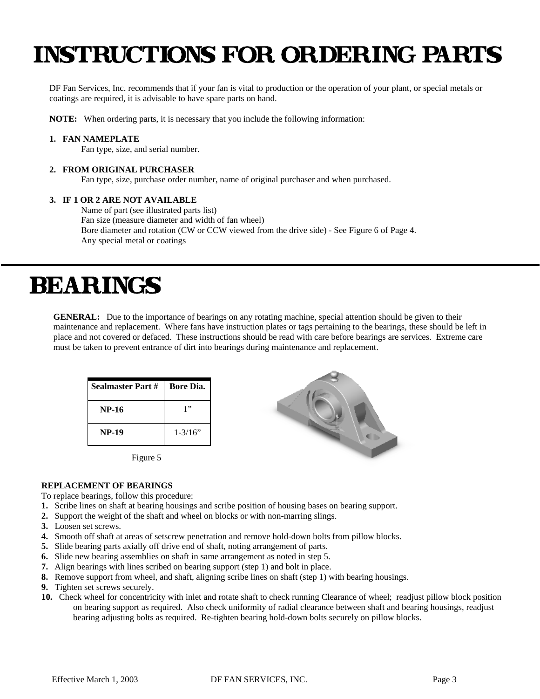### **INSTRUCTIONS FOR ORDERING PARTS**

DF Fan Services, Inc. recommends that if your fan is vital to production or the operation of your plant, or special metals or coatings are required, it is advisable to have spare parts on hand.

**NOTE:** When ordering parts, it is necessary that you include the following information:

#### **1. FAN NAMEPLATE**

Fan type, size, and serial number.

#### **2. FROM ORIGINAL PURCHASER**

Fan type, size, purchase order number, name of original purchaser and when purchased.

#### **3. IF 1 OR 2 ARE NOT AVAILABLE**

 Name of part (see illustrated parts list) Fan size (measure diameter and width of fan wheel) Bore diameter and rotation (CW or CCW viewed from the drive side) - See Figure 6 of Page 4. Any special metal or coatings

### **BEARINGS**

**GENERAL:** Due to the importance of bearings on any rotating machine, special attention should be given to their maintenance and replacement. Where fans have instruction plates or tags pertaining to the bearings, these should be left in place and not covered or defaced. These instructions should be read with care before bearings are services. Extreme care must be taken to prevent entrance of dirt into bearings during maintenance and replacement.

| l Sealmaster Part # | <b>Bore Dia.</b> |  |
|---------------------|------------------|--|
| <b>NP-16</b>        | 1"               |  |
| <b>NP-19</b>        | $1 - 3/16$ "     |  |





#### **REPLACEMENT OF BEARINGS**

To replace bearings, follow this procedure:

- **1.** Scribe lines on shaft at bearing housings and scribe position of housing bases on bearing support.
- **2.** Support the weight of the shaft and wheel on blocks or with non-marring slings.
- **3.** Loosen set screws.
- **4.** Smooth off shaft at areas of setscrew penetration and remove hold-down bolts from pillow blocks.
- **5.** Slide bearing parts axially off drive end of shaft, noting arrangement of parts.
- **6.** Slide new bearing assemblies on shaft in same arrangement as noted in step 5.
- **7.** Align bearings with lines scribed on bearing support (step 1) and bolt in place.
- **8.** Remove support from wheel, and shaft, aligning scribe lines on shaft (step 1) with bearing housings.
- **9.** Tighten set screws securely.
- **10.** Check wheel for concentricity with inlet and rotate shaft to check running Clearance of wheel; readjust pillow block position on bearing support as required. Also check uniformity of radial clearance between shaft and bearing housings, readjust bearing adjusting bolts as required. Re-tighten bearing hold-down bolts securely on pillow blocks.